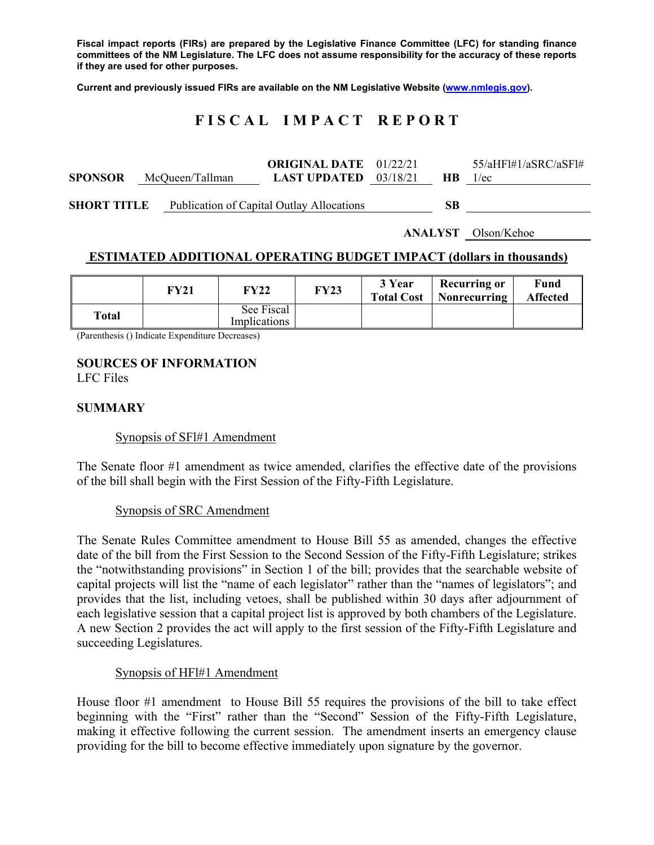**Fiscal impact reports (FIRs) are prepared by the Legislative Finance Committee (LFC) for standing finance committees of the NM Legislature. The LFC does not assume responsibility for the accuracy of these reports if they are used for other purposes.** 

**Current and previously issued FIRs are available on the NM Legislative Website (www.nmlegis.gov).** 

# **F I S C A L I M P A C T R E P O R T**

| <b>SPONSOR</b>     | McQueen/Tallman | <b>ORIGINAL DATE</b> 01/22/21<br><b>LAST UPDATED</b> $03/18/21$ | <b>HB</b> | $55/a$ HF $1#1/a$ SRC $/a$ SF $1#$<br>1/ec |
|--------------------|-----------------|-----------------------------------------------------------------|-----------|--------------------------------------------|
| <b>SHORT TITLE</b> |                 | Publication of Capital Outlay Allocations                       | SВ        |                                            |

**ANALYST** Olson/Kehoe

## **ESTIMATED ADDITIONAL OPERATING BUDGET IMPACT (dollars in thousands)**

|       | FY21 | FY22                       | FY23 | 3 Year<br><b>Total Cost</b> | Recurring or<br>  Nonrecurring | Fund<br><b>Affected</b> |
|-------|------|----------------------------|------|-----------------------------|--------------------------------|-------------------------|
| Total |      | See Fiscal<br>Implications |      |                             |                                |                         |

(Parenthesis () Indicate Expenditure Decreases)

## **SOURCES OF INFORMATION**

LFC Files

#### **SUMMARY**

#### Synopsis of SFl#1 Amendment

The Senate floor #1 amendment as twice amended, clarifies the effective date of the provisions of the bill shall begin with the First Session of the Fifty-Fifth Legislature.

#### Synopsis of SRC Amendment

The Senate Rules Committee amendment to House Bill 55 as amended, changes the effective date of the bill from the First Session to the Second Session of the Fifty-Fifth Legislature; strikes the "notwithstanding provisions" in Section 1 of the bill; provides that the searchable website of capital projects will list the "name of each legislator" rather than the "names of legislators"; and provides that the list, including vetoes, shall be published within 30 days after adjournment of each legislative session that a capital project list is approved by both chambers of the Legislature. A new Section 2 provides the act will apply to the first session of the Fifty-Fifth Legislature and succeeding Legislatures.

#### Synopsis of HFl#1 Amendment

House floor #1 amendment to House Bill 55 requires the provisions of the bill to take effect beginning with the "First" rather than the "Second" Session of the Fifty-Fifth Legislature, making it effective following the current session. The amendment inserts an emergency clause providing for the bill to become effective immediately upon signature by the governor.